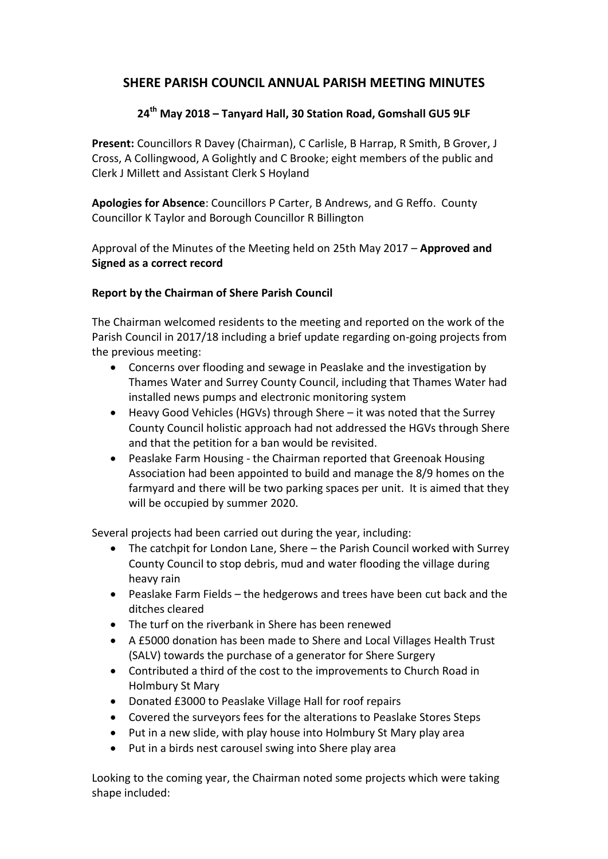## **SHERE PARISH COUNCIL ANNUAL PARISH MEETING MINUTES**

## **24th May 2018 – Tanyard Hall, 30 Station Road, Gomshall GU5 9LF**

**Present:** Councillors R Davey (Chairman), C Carlisle, B Harrap, R Smith, B Grover, J Cross, A Collingwood, A Golightly and C Brooke; eight members of the public and Clerk J Millett and Assistant Clerk S Hoyland

**Apologies for Absence**: Councillors P Carter, B Andrews, and G Reffo. County Councillor K Taylor and Borough Councillor R Billington

Approval of the Minutes of the Meeting held on 25th May 2017 – **Approved and Signed as a correct record** 

## **Report by the Chairman of Shere Parish Council**

The Chairman welcomed residents to the meeting and reported on the work of the Parish Council in 2017/18 including a brief update regarding on-going projects from the previous meeting:

- Concerns over flooding and sewage in Peaslake and the investigation by Thames Water and Surrey County Council, including that Thames Water had installed news pumps and electronic monitoring system
- Heavy Good Vehicles (HGVs) through Shere it was noted that the Surrey County Council holistic approach had not addressed the HGVs through Shere and that the petition for a ban would be revisited.
- Peaslake Farm Housing the Chairman reported that Greenoak Housing Association had been appointed to build and manage the 8/9 homes on the farmyard and there will be two parking spaces per unit. It is aimed that they will be occupied by summer 2020.

Several projects had been carried out during the year, including:

- The catchpit for London Lane, Shere the Parish Council worked with Surrey County Council to stop debris, mud and water flooding the village during heavy rain
- Peaslake Farm Fields the hedgerows and trees have been cut back and the ditches cleared
- The turf on the riverbank in Shere has been renewed
- A £5000 donation has been made to Shere and Local Villages Health Trust (SALV) towards the purchase of a generator for Shere Surgery
- Contributed a third of the cost to the improvements to Church Road in Holmbury St Mary
- Donated £3000 to Peaslake Village Hall for roof repairs
- Covered the surveyors fees for the alterations to Peaslake Stores Steps
- Put in a new slide, with play house into Holmbury St Mary play area
- Put in a birds nest carousel swing into Shere play area

Looking to the coming year, the Chairman noted some projects which were taking shape included: